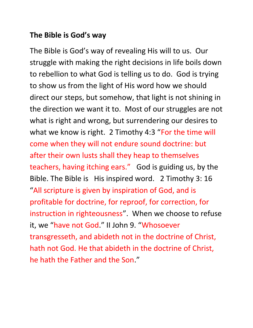## **The Bible is God's way**

The Bible is God's way of revealing His will to us. Our struggle with making the right decisions in life boils down to rebellion to what God is telling us to do. God is trying to show us from the light of His word how we should direct our steps, but somehow, that light is not shining in the direction we want it to. Most of our struggles are not what is right and wrong, but surrendering our desires to what we know is right. 2 Timothy 4:3 "For the time will come when they will not endure sound doctrine: but after their own lusts shall they heap to themselves teachers, having itching ears." God is guiding us, by the Bible. The Bible is His inspired word. 2 Timothy 3: 16 "All scripture is given by inspiration of God, and is profitable for doctrine, for reproof, for correction, for instruction in righteousness". When we choose to refuse it, we "have not God." II John 9. "Whosoever transgresseth, and abideth not in the doctrine of Christ, hath not God. He that abideth in the doctrine of Christ, he hath the Father and the Son."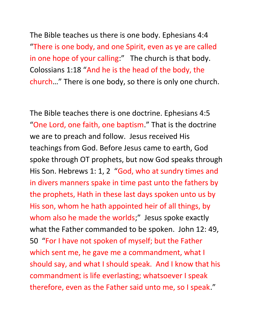The Bible teaches us there is one body. Ephesians 4:4 "There is one body, and one Spirit, even as ye are called in one hope of your calling:" The church is that body. Colossians 1:18 "And he is the head of the body, the church…" There is one body, so there is only one church.

The Bible teaches there is one doctrine. Ephesians 4:5 "One Lord, one faith, one baptism." That is the doctrine we are to preach and follow. Jesus received His teachings from God. Before Jesus came to earth, God spoke through OT prophets, but now God speaks through His Son. Hebrews 1: 1, 2 "God, who at sundry times and in divers manners spake in time past unto the fathers by the prophets, Hath in these last days spoken unto us by His son, whom he hath appointed heir of all things, by whom also he made the worlds;" Jesus spoke exactly what the Father commanded to be spoken. John 12: 49, 50 "For I have not spoken of myself; but the Father which sent me, he gave me a commandment, what I should say, and what I should speak. And I know that his commandment is life everlasting; whatsoever I speak therefore, even as the Father said unto me, so I speak."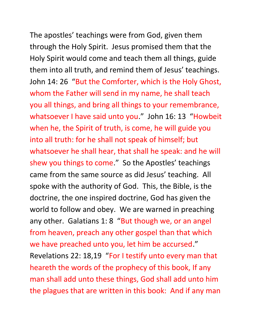The apostles' teachings were from God, given them through the Holy Spirit. Jesus promised them that the Holy Spirit would come and teach them all things, guide them into all truth, and remind them of Jesus' teachings. John 14: 26 "But the Comforter, which is the Holy Ghost, whom the Father will send in my name, he shall teach you all things, and bring all things to your remembrance, whatsoever I have said unto you." John 16: 13 "Howbeit when he, the Spirit of truth, is come, he will guide you into all truth: for he shall not speak of himself; but whatsoever he shall hear, that shall he speak: and he will shew you things to come." So the Apostles' teachings came from the same source as did Jesus' teaching. All spoke with the authority of God. This, the Bible, is the doctrine, the one inspired doctrine, God has given the world to follow and obey. We are warned in preaching any other. Galatians 1: 8 "But though we, or an angel from heaven, preach any other gospel than that which we have preached unto you, let him be accursed." Revelations 22: 18,19 "For I testify unto every man that heareth the words of the prophecy of this book, If any man shall add unto these things, God shall add unto him

the plagues that are written in this book: And if any man